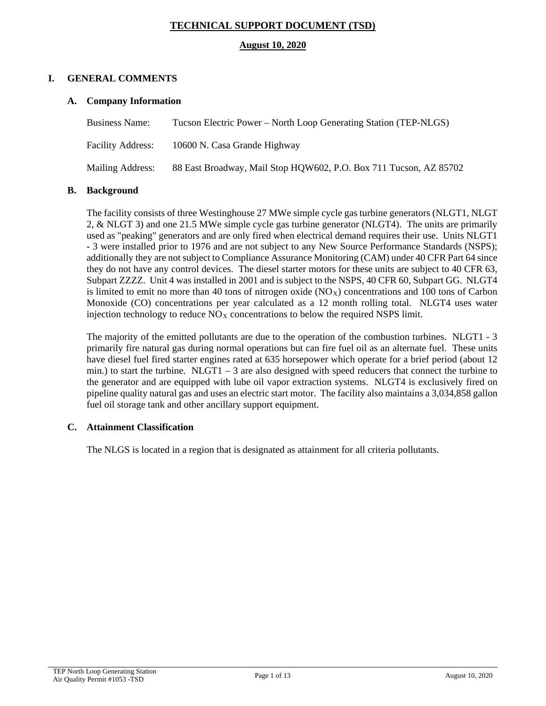# **TECHNICAL SUPPORT DOCUMENT (TSD)**

### **August 10, 2020**

## **I. GENERAL COMMENTS**

## **A. Company Information**

| Business Name:    | Tucson Electric Power – North Loop Generating Station (TEP-NLGS)  |
|-------------------|-------------------------------------------------------------------|
| Facility Address: | 10600 N. Casa Grande Highway                                      |
| Mailing Address:  | 88 East Broadway, Mail Stop HQW602, P.O. Box 711 Tucson, AZ 85702 |

## **B. Background**

The facility consists of three Westinghouse 27 MWe simple cycle gas turbine generators (NLGT1, NLGT 2, & NLGT 3) and one 21.5 MWe simple cycle gas turbine generator (NLGT4). The units are primarily used as "peaking" generators and are only fired when electrical demand requires their use. Units NLGT1 - 3 were installed prior to 1976 and are not subject to any New Source Performance Standards (NSPS); additionally they are not subject to Compliance Assurance Monitoring (CAM) under 40 CFR Part 64 since they do not have any control devices. The diesel starter motors for these units are subject to 40 CFR 63, Subpart ZZZZ. Unit 4 was installed in 2001 and is subject to the NSPS, 40 CFR 60, Subpart GG. NLGT4 is limited to emit no more than 40 tons of nitrogen oxide  $(NO<sub>X</sub>)$  concentrations and 100 tons of Carbon Monoxide (CO) concentrations per year calculated as a 12 month rolling total. NLGT4 uses water injection technology to reduce  $NO<sub>X</sub>$  concentrations to below the required NSPS limit.

The majority of the emitted pollutants are due to the operation of the combustion turbines. NLGT1 - 3 primarily fire natural gas during normal operations but can fire fuel oil as an alternate fuel. These units have diesel fuel fired starter engines rated at 635 horsepower which operate for a brief period (about 12 min.) to start the turbine. NLGT1 – 3 are also designed with speed reducers that connect the turbine to the generator and are equipped with lube oil vapor extraction systems. NLGT4 is exclusively fired on pipeline quality natural gas and uses an electric start motor. The facility also maintains a 3,034,858 gallon fuel oil storage tank and other ancillary support equipment.

## **C. Attainment Classification**

The NLGS is located in a region that is designated as attainment for all criteria pollutants.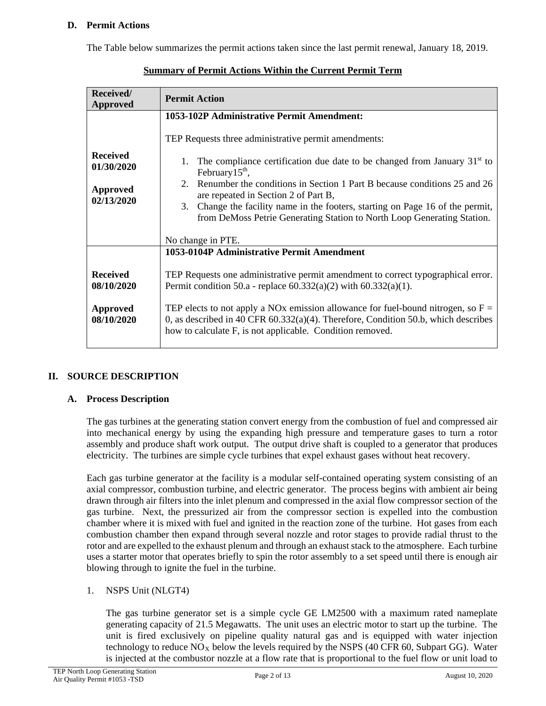## **D. Permit Actions**

The Table below summarizes the permit actions taken since the last permit renewal, January 18, 2019.

| Received/<br><b>Approved</b>                                   | <b>Permit Action</b>                                                                                                                                                                                                                                                                                                                                                                                                                               |
|----------------------------------------------------------------|----------------------------------------------------------------------------------------------------------------------------------------------------------------------------------------------------------------------------------------------------------------------------------------------------------------------------------------------------------------------------------------------------------------------------------------------------|
|                                                                | 1053-102P Administrative Permit Amendment:<br>TEP Requests three administrative permit amendments:                                                                                                                                                                                                                                                                                                                                                 |
| <b>Received</b><br>01/30/2020<br><b>Approved</b><br>02/13/2020 | The compliance certification due date to be changed from January $31st$ to<br>1.<br>February $15th$ ,<br>Renumber the conditions in Section 1 Part B because conditions 25 and 26<br>$2^{\circ}$<br>are repeated in Section 2 of Part B,<br>Change the facility name in the footers, starting on Page 16 of the permit,<br>3.<br>from DeMoss Petrie Generating Station to North Loop Generating Station.                                           |
|                                                                | No change in PTE.                                                                                                                                                                                                                                                                                                                                                                                                                                  |
| <b>Received</b><br>08/10/2020<br><b>Approved</b><br>08/10/2020 | 1053-0104P Administrative Permit Amendment<br>TEP Requests one administrative permit amendment to correct typographical error.<br>Permit condition 50.a - replace $60.332(a)(2)$ with $60.332(a)(1)$ .<br>TEP elects to not apply a NOx emission allowance for fuel-bound nitrogen, so $F =$<br>0, as described in 40 CFR $60.332(a)(4)$ . Therefore, Condition 50.b, which describes<br>how to calculate F, is not applicable. Condition removed. |

| <b>Summary of Permit Actions Within the Current Permit Term</b> |
|-----------------------------------------------------------------|
|-----------------------------------------------------------------|

## **II. SOURCE DESCRIPTION**

#### **A. Process Description**

The gas turbines at the generating station convert energy from the combustion of fuel and compressed air into mechanical energy by using the expanding high pressure and temperature gases to turn a rotor assembly and produce shaft work output. The output drive shaft is coupled to a generator that produces electricity. The turbines are simple cycle turbines that expel exhaust gases without heat recovery.

Each gas turbine generator at the facility is a modular self-contained operating system consisting of an axial compressor, combustion turbine, and electric generator. The process begins with ambient air being drawn through air filters into the inlet plenum and compressed in the axial flow compressor section of the gas turbine. Next, the pressurized air from the compressor section is expelled into the combustion chamber where it is mixed with fuel and ignited in the reaction zone of the turbine. Hot gases from each combustion chamber then expand through several nozzle and rotor stages to provide radial thrust to the rotor and are expelled to the exhaust plenum and through an exhaust stack to the atmosphere. Each turbine uses a starter motor that operates briefly to spin the rotor assembly to a set speed until there is enough air blowing through to ignite the fuel in the turbine.

#### 1. NSPS Unit (NLGT4)

The gas turbine generator set is a simple cycle GE LM2500 with a maximum rated nameplate generating capacity of 21.5 Megawatts. The unit uses an electric motor to start up the turbine. The unit is fired exclusively on pipeline quality natural gas and is equipped with water injection technology to reduce  $NO<sub>X</sub>$  below the levels required by the NSPS (40 CFR 60, Subpart GG). Water is injected at the combustor nozzle at a flow rate that is proportional to the fuel flow or unit load to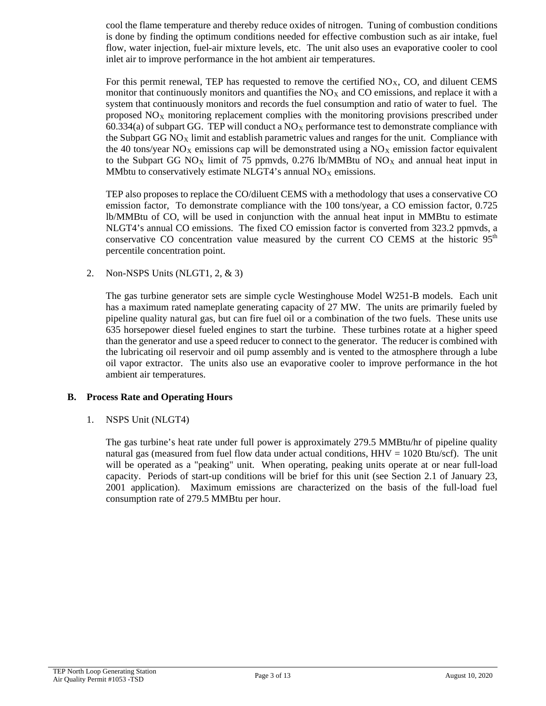cool the flame temperature and thereby reduce oxides of nitrogen. Tuning of combustion conditions is done by finding the optimum conditions needed for effective combustion such as air intake, fuel flow, water injection, fuel-air mixture levels, etc. The unit also uses an evaporative cooler to cool inlet air to improve performance in the hot ambient air temperatures.

For this permit renewal, TEP has requested to remove the certified  $NO<sub>X</sub>$ , CO, and diluent CEMS monitor that continuously monitors and quantifies the  $NO<sub>X</sub>$  and CO emissions, and replace it with a system that continuously monitors and records the fuel consumption and ratio of water to fuel. The proposed  $NO<sub>X</sub>$  monitoring replacement complies with the monitoring provisions prescribed under 60.334(a) of subpart GG. TEP will conduct a  $NO<sub>x</sub>$  performance test to demonstrate compliance with the Subpart GG  $NO<sub>x</sub>$  limit and establish parametric values and ranges for the unit. Compliance with the 40 tons/year  $NO<sub>X</sub>$  emissions cap will be demonstrated using a  $NO<sub>X</sub>$  emission factor equivalent to the Subpart GG NO<sub>X</sub> limit of 75 ppmvds, 0.276 lb/MMBtu of NO<sub>X</sub> and annual heat input in MMbtu to conservatively estimate NLGT4's annual  $NO<sub>X</sub>$  emissions.

TEP also proposes to replace the CO/diluent CEMS with a methodology that uses a conservative CO emission factor, To demonstrate compliance with the 100 tons/year, a CO emission factor, 0.725 lb/MMBtu of CO, will be used in conjunction with the annual heat input in MMBtu to estimate NLGT4's annual CO emissions. The fixed CO emission factor is converted from 323.2 ppmvds, a conservative CO concentration value measured by the current CO CEMS at the historic  $95<sup>th</sup>$ percentile concentration point.

2. Non-NSPS Units (NLGT1, 2, & 3)

The gas turbine generator sets are simple cycle Westinghouse Model W251-B models. Each unit has a maximum rated nameplate generating capacity of 27 MW. The units are primarily fueled by pipeline quality natural gas, but can fire fuel oil or a combination of the two fuels. These units use 635 horsepower diesel fueled engines to start the turbine. These turbines rotate at a higher speed than the generator and use a speed reducer to connect to the generator. The reducer is combined with the lubricating oil reservoir and oil pump assembly and is vented to the atmosphere through a lube oil vapor extractor. The units also use an evaporative cooler to improve performance in the hot ambient air temperatures.

## **B. Process Rate and Operating Hours**

1. NSPS Unit (NLGT4)

The gas turbine's heat rate under full power is approximately 279.5 MMBtu/hr of pipeline quality natural gas (measured from fuel flow data under actual conditions,  $HHV = 1020$  Btu/scf). The unit will be operated as a "peaking" unit. When operating, peaking units operate at or near full-load capacity. Periods of start-up conditions will be brief for this unit (see Section 2.1 of January 23, 2001 application). Maximum emissions are characterized on the basis of the full-load fuel consumption rate of 279.5 MMBtu per hour.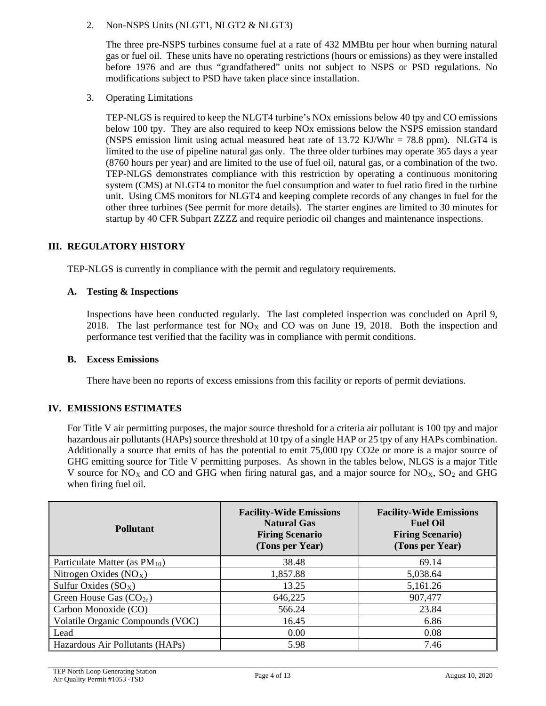## 2. Non-NSPS Units (NLGT1, NLGT2 & NLGT3)

The three pre-NSPS turbines consume fuel at a rate of 432 MMBtu per hour when burning natural gas or fuel oil. These units have no operating restrictions (hours or emissions) as they were installed before 1976 and are thus "grandfathered" units not subject to NSPS or PSD regulations. No modifications subject to PSD have taken place since installation.

3. Operating Limitations

TEP-NLGS is required to keep the NLGT4 turbine's NOx emissions below 40 tpy and CO emissions below 100 tpy. They are also required to keep NOx emissions below the NSPS emission standard (NSPS emission limit using actual measured heat rate of  $13.72 \text{ KJ/Whr} = 78.8 \text{ ppm}$ ). NLGT4 is limited to the use of pipeline natural gas only. The three older turbines may operate 365 days a year (8760 hours per year) and are limited to the use of fuel oil, natural gas, or a combination of the two. TEP-NLGS demonstrates compliance with this restriction by operating a continuous monitoring system (CMS) at NLGT4 to monitor the fuel consumption and water to fuel ratio fired in the turbine unit. Using CMS monitors for NLGT4 and keeping complete records of any changes in fuel for the other three turbines (See permit for more details). The starter engines are limited to 30 minutes for startup by 40 CFR Subpart ZZZZ and require periodic oil changes and maintenance inspections.

## **III. REGULATORY HISTORY**

TEP-NLGS is currently in compliance with the permit and regulatory requirements.

## **A. Testing & Inspections**

Inspections have been conducted regularly. The last completed inspection was concluded on April 9, 2018. The last performance test for  $NO<sub>X</sub>$  and CO was on June 19, 2018. Both the inspection and performance test verified that the facility was in compliance with permit conditions.

#### **B. Excess Emissions**

There have been no reports of excess emissions from this facility or reports of permit deviations.

## **IV. EMISSIONS ESTIMATES**

For Title V air permitting purposes, the major source threshold for a criteria air pollutant is 100 tpy and major hazardous air pollutants (HAPs) source threshold at 10 tpy of a single HAP or 25 tpy of any HAPs combination. Additionally a source that emits of has the potential to emit 75,000 tpy CO2e or more is a major source of GHG emitting source for Title V permitting purposes. As shown in the tables below, NLGS is a major Title V source for  $NO<sub>X</sub>$  and CO and GHG when firing natural gas, and a major source for  $NO<sub>X</sub>$ ,  $SO<sub>2</sub>$  and GHG when firing fuel oil.

| <b>Pollutant</b>                   | <b>Facility-Wide Emissions</b><br><b>Natural Gas</b><br><b>Firing Scenario</b><br>(Tons per Year) | <b>Facility-Wide Emissions</b><br><b>Fuel Oil</b><br><b>Firing Scenario)</b><br>(Tons per Year) |
|------------------------------------|---------------------------------------------------------------------------------------------------|-------------------------------------------------------------------------------------------------|
| Particulate Matter (as $PM_{10}$ ) | 38.48                                                                                             | 69.14                                                                                           |
| Nitrogen Oxides $(NOX)$            | 1,857.88                                                                                          | 5,038.64                                                                                        |
| Sulfur Oxides $(SO_X)$             | 13.25                                                                                             | 5,161.26                                                                                        |
| Green House Gas $(CO_{2e})$        | 646,225                                                                                           | 907,477                                                                                         |
| Carbon Monoxide (CO)               | 566.24                                                                                            | 23.84                                                                                           |
| Volatile Organic Compounds (VOC)   | 16.45                                                                                             | 6.86                                                                                            |
| Lead                               | 0.00                                                                                              | 0.08                                                                                            |
| Hazardous Air Pollutants (HAPs)    | 5.98                                                                                              | 7.46                                                                                            |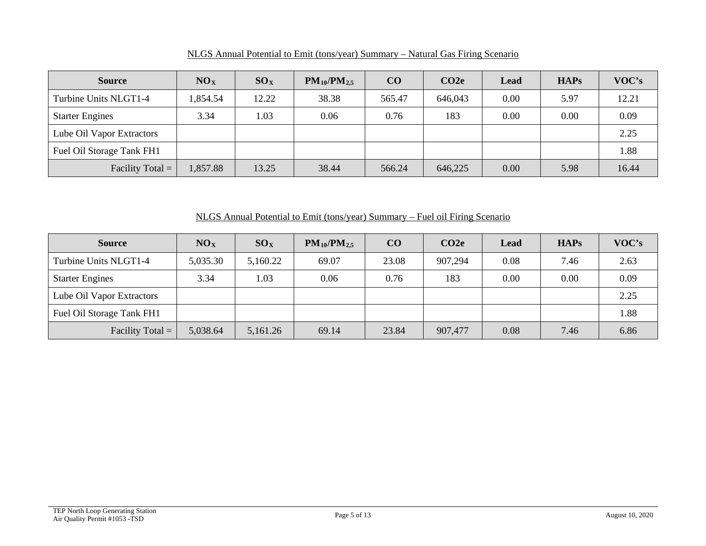| <b>Source</b>             | NO <sub>X</sub> | SO <sub>X</sub> | $PM_{10}/PM_{2,5}$ | $\bf CO$ | CO2e    | Lead | <b>HAPs</b> | VOC's |
|---------------------------|-----------------|-----------------|--------------------|----------|---------|------|-------------|-------|
| Turbine Units NLGT1-4     | 1,854.54        | 12.22           | 38.38              | 565.47   | 646,043 | 0.00 | 5.97        | 12.21 |
| <b>Starter Engines</b>    | 3.34            | 1.03            | 0.06               | 0.76     | 183     | 0.00 | 0.00        | 0.09  |
| Lube Oil Vapor Extractors |                 |                 |                    |          |         |      |             | 2.25  |
| Fuel Oil Storage Tank FH1 |                 |                 |                    |          |         |      |             | 1.88  |
| Facility Total $=$        | .857.88         | 13.25           | 38.44              | 566.24   | 646,225 | 0.00 | 5.98        | 16.44 |

NLGS Annual Potential to Emit (tons/year) Summary – Natural Gas Firing Scenario

NLGS Annual Potential to Emit (tons/year) Summary – Fuel oil Firing Scenario

| <b>Source</b>             | NO <sub>X</sub> | $SO_{X}$ | $PM_{10}/PM_{2.5}$ | CO    | CO <sub>2e</sub> | Lead | <b>HAPs</b> | VOC's |
|---------------------------|-----------------|----------|--------------------|-------|------------------|------|-------------|-------|
| Turbine Units NLGT1-4     | 5,035.30        | 5,160.22 | 69.07              | 23.08 | 907,294          | 0.08 | 7.46        | 2.63  |
| <b>Starter Engines</b>    | 3.34            | 1.03     | 0.06               | 0.76  | 183              | 0.00 | 0.00        | 0.09  |
| Lube Oil Vapor Extractors |                 |          |                    |       |                  |      |             | 2.25  |
| Fuel Oil Storage Tank FH1 |                 |          |                    |       |                  |      |             | 1.88  |
| Facility Total $=$        | 5,038.64        | 5,161.26 | 69.14              | 23.84 | 907,477          | 0.08 | 7.46        | 6.86  |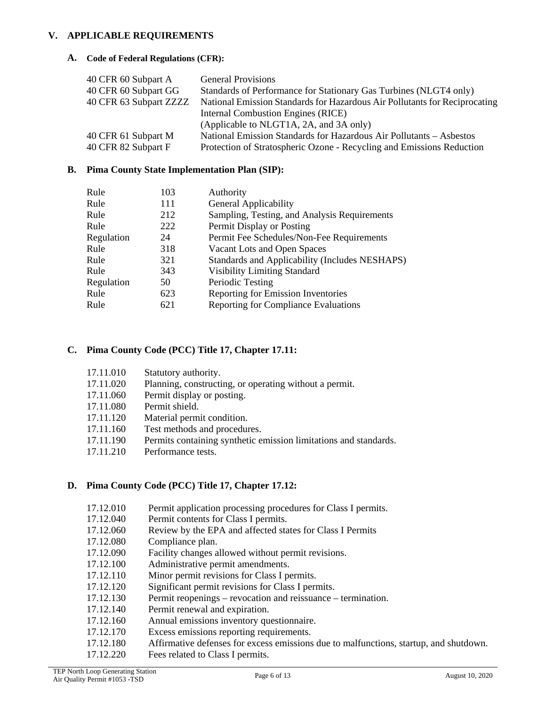### **V. APPLICABLE REQUIREMENTS**

### **A. Code of Federal Regulations (CFR):**

| 40 CFR 60 Subpart A    | <b>General Provisions</b>                                                  |
|------------------------|----------------------------------------------------------------------------|
| 40 CFR 60 Subpart GG   | Standards of Performance for Stationary Gas Turbines (NLGT4 only)          |
| 40 CFR 63 Subpart ZZZZ | National Emission Standards for Hazardous Air Pollutants for Reciprocating |
|                        | Internal Combustion Engines (RICE)                                         |
|                        | (Applicable to NLGT1A, 2A, and 3A only)                                    |
| 40 CFR 61 Subpart M    | National Emission Standards for Hazardous Air Pollutants - Asbestos        |
| 40 CFR 82 Subpart F    | Protection of Stratospheric Ozone - Recycling and Emissions Reduction      |

## **B. Pima County State Implementation Plan (SIP):**

| 103 | Authority                                      |
|-----|------------------------------------------------|
| 111 | <b>General Applicability</b>                   |
| 212 | Sampling, Testing, and Analysis Requirements   |
| 222 | Permit Display or Posting                      |
| 24  | Permit Fee Schedules/Non-Fee Requirements      |
| 318 | Vacant Lots and Open Spaces                    |
| 321 | Standards and Applicability (Includes NESHAPS) |
| 343 | <b>Visibility Limiting Standard</b>            |
| 50  | Periodic Testing                               |
| 623 | Reporting for Emission Inventories             |
| 621 | <b>Reporting for Compliance Evaluations</b>    |
|     |                                                |

## **C. Pima County Code (PCC) Title 17, Chapter 17.11:**

| 17.11.010   | Statutory authority.                                   |
|-------------|--------------------------------------------------------|
| 17.11.020   | Planning, constructing, or operating without a permit. |
| 17 11 $060$ | Down't dignlay or nosting                              |

- 17.11.060 Permit display or posting.
- 17.11.080 Permit shield.
- 17.11.120 Material permit condition.
- 17.11.160 Test methods and procedures.
- 17.11.190 Permits containing synthetic emission limitations and standards.
- 17.11.210 Performance tests.

## **D. Pima County Code (PCC) Title 17, Chapter 17.12:**

- 17.12.010 Permit application processing procedures for Class I permits.
- 17.12.040 Permit contents for Class I permits.
- 17.12.060 Review by the EPA and affected states for Class I Permits
- 17.12.080 Compliance plan.
- 17.12.090 Facility changes allowed without permit revisions.
- 17.12.100 Administrative permit amendments.
- 17.12.110 Minor permit revisions for Class I permits.
- 17.12.120 Significant permit revisions for Class I permits.
- 17.12.130 Permit reopenings revocation and reissuance termination.
- 17.12.140 Permit renewal and expiration.
- 17.12.160 Annual emissions inventory questionnaire.
- 17.12.170 Excess emissions reporting requirements.
- 17.12.180 Affirmative defenses for excess emissions due to malfunctions, startup, and shutdown.
- 17.12.220 Fees related to Class I permits.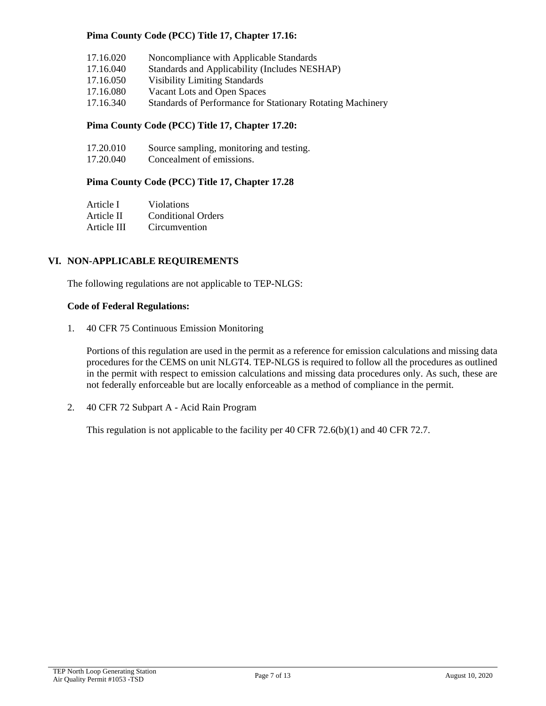## **Pima County Code (PCC) Title 17, Chapter 17.16:**

| 17.16.020 | Noncompliance with Applicable Standards                    |
|-----------|------------------------------------------------------------|
| 17.16.040 | Standards and Applicability (Includes NESHAP)              |
| 17.16.050 | <b>Visibility Limiting Standards</b>                       |
| 17.16.080 | Vacant Lots and Open Spaces                                |
| 17.16.340 | Standards of Performance for Stationary Rotating Machinery |

## **Pima County Code (PCC) Title 17, Chapter 17.20:**

| 17.20.010 | Source sampling, monitoring and testing. |
|-----------|------------------------------------------|
| 17.00010  |                                          |

17.20.040 Concealment of emissions.

## **Pima County Code (PCC) Title 17, Chapter 17.28**

| Article I   | <b>Violations</b>         |
|-------------|---------------------------|
| Article II  | <b>Conditional Orders</b> |
| Article III | Circumvention             |

#### **VI. NON-APPLICABLE REQUIREMENTS**

The following regulations are not applicable to TEP-NLGS:

#### **Code of Federal Regulations:**

1. 40 CFR 75 Continuous Emission Monitoring

Portions of this regulation are used in the permit as a reference for emission calculations and missing data procedures for the CEMS on unit NLGT4. TEP-NLGS is required to follow all the procedures as outlined in the permit with respect to emission calculations and missing data procedures only. As such, these are not federally enforceable but are locally enforceable as a method of compliance in the permit.

2. 40 CFR 72 Subpart A - Acid Rain Program

This regulation is not applicable to the facility per 40 CFR 72.6(b)(1) and 40 CFR 72.7.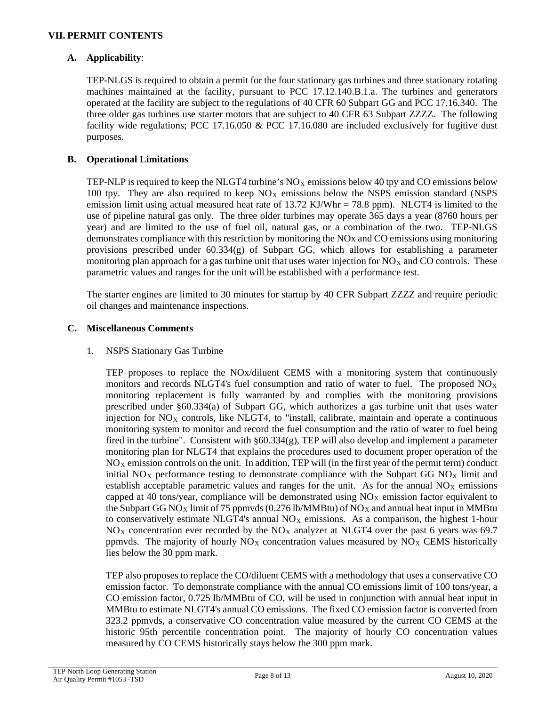## **A. Applicability**:

TEP-NLGS is required to obtain a permit for the four stationary gas turbines and three stationary rotating machines maintained at the facility, pursuant to PCC 17.12.140.B.1.a. The turbines and generators operated at the facility are subject to the regulations of 40 CFR 60 Subpart GG and PCC 17.16.340. The three older gas turbines use starter motors that are subject to 40 CFR 63 Subpart ZZZZ. The following facility wide regulations; PCC 17.16.050 & PCC 17.16.080 are included exclusively for fugitive dust purposes.

## **B. Operational Limitations**

TEP-NLP is required to keep the NLGT4 turbine's  $N_{\text{Ox}}$  emissions below 40 tpy and CO emissions below 100 tpy. They are also required to keep  $NO<sub>X</sub>$  emissions below the NSPS emission standard (NSPS emission limit using actual measured heat rate of  $13.72$  KJ/Whr = 78.8 ppm). NLGT4 is limited to the use of pipeline natural gas only. The three older turbines may operate 365 days a year (8760 hours per year) and are limited to the use of fuel oil, natural gas, or a combination of the two. TEP-NLGS demonstrates compliance with this restriction by monitoring the NOx and CO emissions using monitoring provisions prescribed under  $60.334(g)$  of Subpart GG, which allows for establishing a parameter monitoring plan approach for a gas turbine unit that uses water injection for  $NO<sub>X</sub>$  and CO controls. These parametric values and ranges for the unit will be established with a performance test.

The starter engines are limited to 30 minutes for startup by 40 CFR Subpart ZZZZ and require periodic oil changes and maintenance inspections.

## **C. Miscellaneous Comments**

#### 1. NSPS Stationary Gas Turbine

TEP proposes to replace the NOx/diluent CEMS with a monitoring system that continuously monitors and records NLGT4's fuel consumption and ratio of water to fuel. The proposed  $N_{\text{Ox}}$ monitoring replacement is fully warranted by and complies with the monitoring provisions prescribed under §60.334(a) of Subpart GG, which authorizes a gas turbine unit that uses water injection for  $NO<sub>X</sub>$  controls, like NLGT4, to "install, calibrate, maintain and operate a continuous monitoring system to monitor and record the fuel consumption and the ratio of water to fuel being fired in the turbine". Consistent with §60.334(g), TEP will also develop and implement a parameter monitoring plan for NLGT4 that explains the procedures used to document proper operation of the  $NO<sub>X</sub>$  emission controls on the unit. In addition, TEP will (in the first year of the permit term) conduct initial  $NO<sub>X</sub>$  performance testing to demonstrate compliance with the Subpart GG  $NO<sub>X</sub>$  limit and establish acceptable parametric values and ranges for the unit. As for the annual  $NO<sub>X</sub>$  emissions capped at 40 tons/year, compliance will be demonstrated using  $NO<sub>X</sub>$  emission factor equivalent to the Subpart GG NO<sub>X</sub> limit of 75 ppmvds (0.276 lb/MMBtu) of NO<sub>X</sub> and annual heat input in MMBtu to conservatively estimate NLGT4's annual  $NO<sub>X</sub>$  emissions. As a comparison, the highest 1-hour  $NO<sub>X</sub>$  concentration ever recorded by the  $NO<sub>X</sub>$  analyzer at NLGT4 over the past 6 years was 69.7 ppmvds. The majority of hourly  $NO<sub>X</sub>$  concentration values measured by  $NO<sub>X</sub>$  CEMS historically lies below the 30 ppm mark.

TEP also proposes to replace the CO/diluent CEMS with a methodology that uses a conservative CO emission factor. To demonstrate compliance with the annual CO emissions limit of 100 tons/year, a CO emission factor, 0.725 lb/MMBtu of CO, will be used in conjunction with annual heat input in MMBtu to estimate NLGT4's annual CO emissions. The fixed CO emission factor is converted from 323.2 ppmvds, a conservative CO concentration value measured by the current CO CEMS at the historic 95th percentile concentration point. The majority of hourly CO concentration values measured by CO CEMS historically stays below the 300 ppm mark.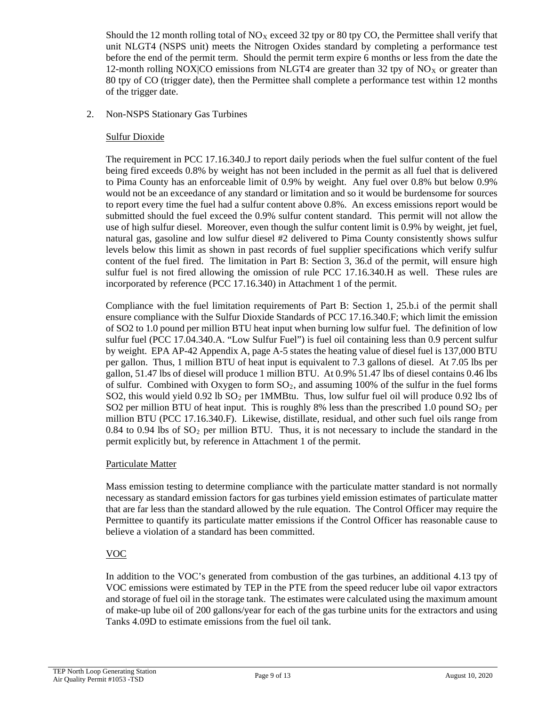Should the 12 month rolling total of  $NO<sub>X</sub>$  exceed 32 tpy or 80 tpy CO, the Permittee shall verify that unit NLGT4 (NSPS unit) meets the Nitrogen Oxides standard by completing a performance test before the end of the permit term. Should the permit term expire 6 months or less from the date the 12-month rolling NOX|CO emissions from NLGT4 are greater than 32 tpy of NO<sub>x</sub> or greater than 80 tpy of CO (trigger date), then the Permittee shall complete a performance test within 12 months of the trigger date.

## 2. Non-NSPS Stationary Gas Turbines

### Sulfur Dioxide

The requirement in PCC 17.16.340.J to report daily periods when the fuel sulfur content of the fuel being fired exceeds 0.8% by weight has not been included in the permit as all fuel that is delivered to Pima County has an enforceable limit of 0.9% by weight. Any fuel over 0.8% but below 0.9% would not be an exceedance of any standard or limitation and so it would be burdensome for sources to report every time the fuel had a sulfur content above 0.8%. An excess emissions report would be submitted should the fuel exceed the 0.9% sulfur content standard. This permit will not allow the use of high sulfur diesel. Moreover, even though the sulfur content limit is 0.9% by weight, jet fuel, natural gas, gasoline and low sulfur diesel #2 delivered to Pima County consistently shows sulfur levels below this limit as shown in past records of fuel supplier specifications which verify sulfur content of the fuel fired. The limitation in Part B: Section 3, 36.d of the permit, will ensure high sulfur fuel is not fired allowing the omission of rule PCC 17.16.340.H as well. These rules are incorporated by reference (PCC 17.16.340) in Attachment 1 of the permit.

Compliance with the fuel limitation requirements of Part B: Section 1, 25.b.i of the permit shall ensure compliance with the Sulfur Dioxide Standards of PCC 17.16.340.F; which limit the emission of SO2 to 1.0 pound per million BTU heat input when burning low sulfur fuel. The definition of low sulfur fuel (PCC 17.04.340.A. "Low Sulfur Fuel") is fuel oil containing less than 0.9 percent sulfur by weight. EPA AP-42 Appendix A, page A-5 states the heating value of diesel fuel is 137,000 BTU per gallon. Thus, 1 million BTU of heat input is equivalent to 7.3 gallons of diesel. At 7.05 lbs per gallon, 51.47 lbs of diesel will produce 1 million BTU. At 0.9% 51.47 lbs of diesel contains 0.46 lbs of sulfur. Combined with Oxygen to form  $SO<sub>2</sub>$ , and assuming 100% of the sulfur in the fuel forms SO2, this would yield  $0.92$  lb SO<sub>2</sub> per 1MMBtu. Thus, low sulfur fuel oil will produce 0.92 lbs of SO2 per million BTU of heat input. This is roughly 8% less than the prescribed 1.0 pound  $SO<sub>2</sub>$  per million BTU (PCC 17.16.340.F). Likewise, distillate, residual, and other such fuel oils range from 0.84 to 0.94 lbs of  $SO<sub>2</sub>$  per million BTU. Thus, it is not necessary to include the standard in the permit explicitly but, by reference in Attachment 1 of the permit.

#### Particulate Matter

Mass emission testing to determine compliance with the particulate matter standard is not normally necessary as standard emission factors for gas turbines yield emission estimates of particulate matter that are far less than the standard allowed by the rule equation. The Control Officer may require the Permittee to quantify its particulate matter emissions if the Control Officer has reasonable cause to believe a violation of a standard has been committed.

## VOC

In addition to the VOC's generated from combustion of the gas turbines, an additional 4.13 tpy of VOC emissions were estimated by TEP in the PTE from the speed reducer lube oil vapor extractors and storage of fuel oil in the storage tank. The estimates were calculated using the maximum amount of make-up lube oil of 200 gallons/year for each of the gas turbine units for the extractors and using Tanks 4.09D to estimate emissions from the fuel oil tank.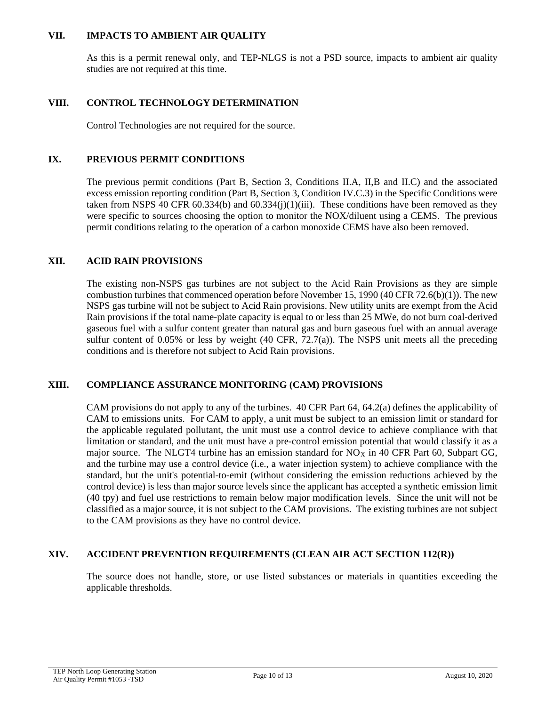#### **VII. IMPACTS TO AMBIENT AIR QUALITY**

As this is a permit renewal only, and TEP-NLGS is not a PSD source, impacts to ambient air quality studies are not required at this time.

# **VIII. CONTROL TECHNOLOGY DETERMINATION**

Control Technologies are not required for the source.

#### **IX. PREVIOUS PERMIT CONDITIONS**

The previous permit conditions (Part B, Section 3, Conditions II.A, II,B and II.C) and the associated excess emission reporting condition (Part B, Section 3, Condition IV.C.3) in the Specific Conditions were taken from NSPS 40 CFR 60.334(b) and 60.334(j)(1)(iii). These conditions have been removed as they were specific to sources choosing the option to monitor the NOX/diluent using a CEMS. The previous permit conditions relating to the operation of a carbon monoxide CEMS have also been removed.

#### **XII. ACID RAIN PROVISIONS**

The existing non-NSPS gas turbines are not subject to the Acid Rain Provisions as they are simple combustion turbines that commenced operation before November 15, 1990 (40 CFR 72.6(b)(1)). The new NSPS gas turbine will not be subject to Acid Rain provisions. New utility units are exempt from the Acid Rain provisions if the total name-plate capacity is equal to or less than 25 MWe, do not burn coal-derived gaseous fuel with a sulfur content greater than natural gas and burn gaseous fuel with an annual average sulfur content of 0.05% or less by weight  $(40 \text{ CFR}, 72.7(a))$ . The NSPS unit meets all the preceding conditions and is therefore not subject to Acid Rain provisions.

#### **XIII. COMPLIANCE ASSURANCE MONITORING (CAM) PROVISIONS**

CAM provisions do not apply to any of the turbines. 40 CFR Part 64, 64.2(a) defines the applicability of CAM to emissions units. For CAM to apply, a unit must be subject to an emission limit or standard for the applicable regulated pollutant, the unit must use a control device to achieve compliance with that limitation or standard, and the unit must have a pre-control emission potential that would classify it as a major source. The NLGT4 turbine has an emission standard for  $NO<sub>X</sub>$  in 40 CFR Part 60, Subpart GG, and the turbine may use a control device (i.e., a water injection system) to achieve compliance with the standard, but the unit's potential-to-emit (without considering the emission reductions achieved by the control device) is less than major source levels since the applicant has accepted a synthetic emission limit (40 tpy) and fuel use restrictions to remain below major modification levels. Since the unit will not be classified as a major source, it is not subject to the CAM provisions. The existing turbines are not subject to the CAM provisions as they have no control device.

#### **XIV. ACCIDENT PREVENTION REQUIREMENTS (CLEAN AIR ACT SECTION 112(R))**

The source does not handle, store, or use listed substances or materials in quantities exceeding the applicable thresholds.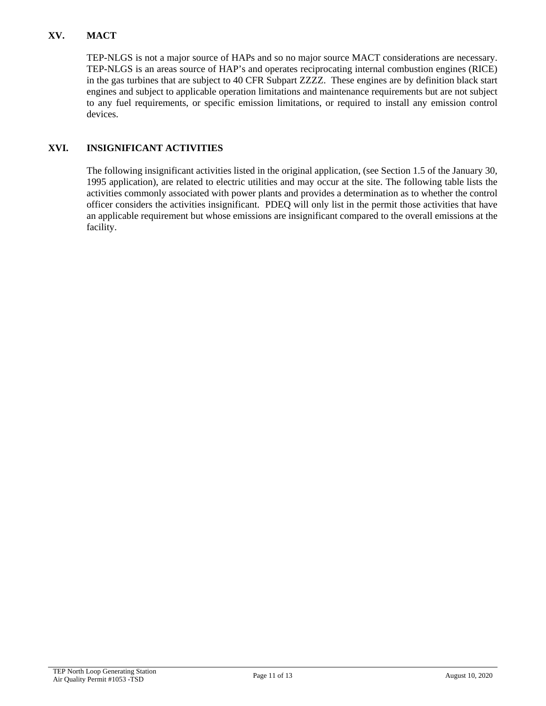# **XV. MACT**

TEP-NLGS is not a major source of HAPs and so no major source MACT considerations are necessary. TEP-NLGS is an areas source of HAP's and operates reciprocating internal combustion engines (RICE) in the gas turbines that are subject to 40 CFR Subpart ZZZZ. These engines are by definition black start engines and subject to applicable operation limitations and maintenance requirements but are not subject to any fuel requirements, or specific emission limitations, or required to install any emission control devices.

# **XVI. INSIGNIFICANT ACTIVITIES**

The following insignificant activities listed in the original application, (see Section 1.5 of the January 30, 1995 application), are related to electric utilities and may occur at the site. The following table lists the activities commonly associated with power plants and provides a determination as to whether the control officer considers the activities insignificant. PDEQ will only list in the permit those activities that have an applicable requirement but whose emissions are insignificant compared to the overall emissions at the facility.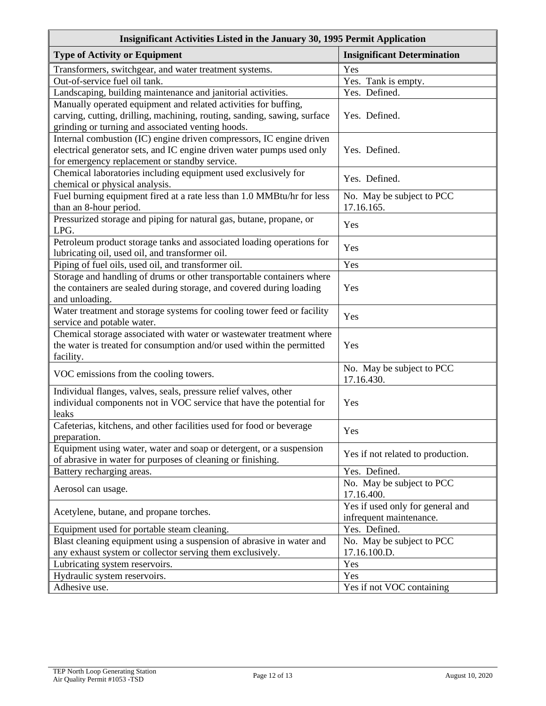| Insignificant Activities Listed in the January 30, 1995 Permit Application |                                    |
|----------------------------------------------------------------------------|------------------------------------|
| <b>Type of Activity or Equipment</b>                                       | <b>Insignificant Determination</b> |
| Transformers, switchgear, and water treatment systems.                     | Yes                                |
| Out-of-service fuel oil tank.                                              | Yes. Tank is empty.                |
| Landscaping, building maintenance and janitorial activities.               | Yes. Defined.                      |
| Manually operated equipment and related activities for buffing,            |                                    |
| carving, cutting, drilling, machining, routing, sanding, sawing, surface   | Yes. Defined.                      |
| grinding or turning and associated venting hoods.                          |                                    |
| Internal combustion (IC) engine driven compressors, IC engine driven       |                                    |
| electrical generator sets, and IC engine driven water pumps used only      | Yes. Defined.                      |
| for emergency replacement or standby service.                              |                                    |
| Chemical laboratories including equipment used exclusively for             | Yes. Defined.                      |
| chemical or physical analysis.                                             |                                    |
| Fuel burning equipment fired at a rate less than 1.0 MMBtu/hr for less     | No. May be subject to PCC          |
| than an 8-hour period.                                                     | 17.16.165.                         |
| Pressurized storage and piping for natural gas, butane, propane, or        | Yes                                |
| LPG.                                                                       |                                    |
| Petroleum product storage tanks and associated loading operations for      | Yes                                |
| lubricating oil, used oil, and transformer oil.                            |                                    |
| Piping of fuel oils, used oil, and transformer oil.                        | Yes                                |
| Storage and handling of drums or other transportable containers where      |                                    |
| the containers are sealed during storage, and covered during loading       | Yes                                |
| and unloading.                                                             |                                    |
| Water treatment and storage systems for cooling tower feed or facility     | Yes                                |
| service and potable water.                                                 |                                    |
| Chemical storage associated with water or wastewater treatment where       |                                    |
| the water is treated for consumption and/or used within the permitted      | Yes                                |
| facility.                                                                  | No. May be subject to PCC          |
| VOC emissions from the cooling towers.                                     | 17.16.430.                         |
| Individual flanges, valves, seals, pressure relief valves, other           |                                    |
| individual components not in VOC service that have the potential for       | Yes                                |
| leaks                                                                      |                                    |
| Cafeterias, kitchens, and other facilities used for food or beverage       |                                    |
| preparation.                                                               | Yes                                |
| Equipment using water, water and soap or detergent, or a suspension        |                                    |
| of abrasive in water for purposes of cleaning or finishing.                | Yes if not related to production.  |
| Battery recharging areas.                                                  | Yes. Defined.                      |
|                                                                            | No. May be subject to PCC          |
| Aerosol can usage.                                                         | 17.16.400.                         |
| Acetylene, butane, and propane torches.                                    | Yes if used only for general and   |
|                                                                            | infrequent maintenance.            |
| Equipment used for portable steam cleaning.                                | Yes. Defined.                      |
| Blast cleaning equipment using a suspension of abrasive in water and       | No. May be subject to PCC          |
| any exhaust system or collector serving them exclusively.                  | 17.16.100.D.                       |
| Lubricating system reservoirs.                                             | Yes                                |
| Hydraulic system reservoirs.                                               | Yes                                |
| Adhesive use.                                                              | Yes if not VOC containing          |